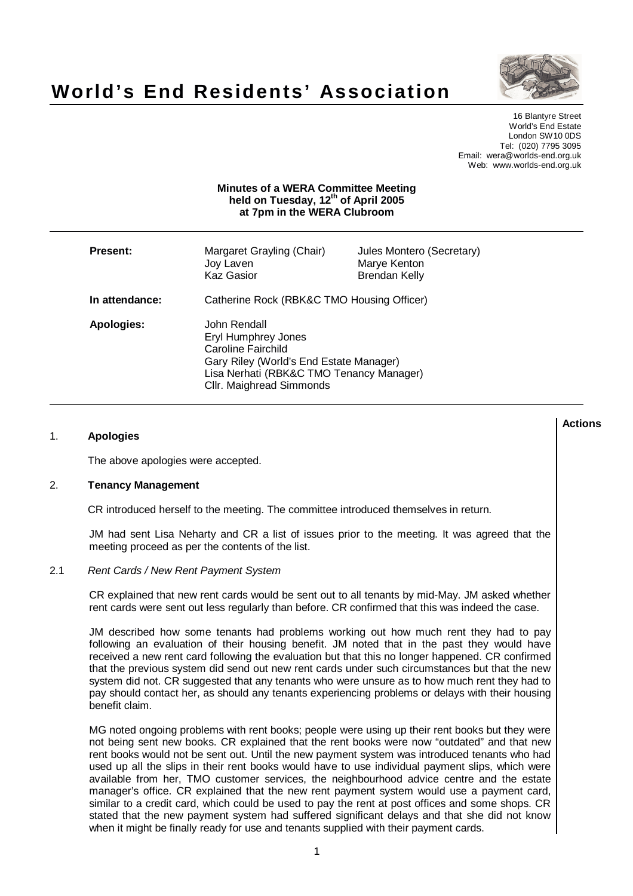



16 Blantyre Street World's End Estate London SW10 0DS Tel: (020) 7795 3095 Email: wera@worlds-end.org.uk Web: www.worlds-end.org.uk

### **Minutes of a WERA Committee Meeting held on Tuesday, 12 th of April 2005 at 7pm in the WERA Clubroom**

| <b>Present:</b> | Margaret Grayling (Chair)<br>Joy Laven<br><b>Kaz Gasior</b>                                                                                                                         | Jules Montero (Secretary)<br>Marye Kenton<br><b>Brendan Kelly</b> |
|-----------------|-------------------------------------------------------------------------------------------------------------------------------------------------------------------------------------|-------------------------------------------------------------------|
| In attendance:  | Catherine Rock (RBK&C TMO Housing Officer)                                                                                                                                          |                                                                   |
| Apologies:      | John Rendall<br><b>Eryl Humphrey Jones</b><br>Caroline Fairchild<br>Gary Riley (World's End Estate Manager)<br>Lisa Nerhati (RBK&C TMO Tenancy Manager)<br>Cllr. Maighread Simmonds |                                                                   |

### 1. **Apologies**

The above apologies were accepted.

### 2. **Tenancy Management**

CR introduced herself to the meeting. The committee introduced themselves in return.

JM had sent Lisa Neharty and CR a list of issues prior to the meeting. It was agreed that the meeting proceed as per the contents of the list.

#### 2.1 Rent Cards / New Rent Payment System

CR explained that new rent cards would be sent out to all tenants by mid-May. JM asked whether rent cards were sent out less regularly than before. CR confirmed that this was indeed the case.

JM described how some tenants had problems working out how much rent they had to pay following an evaluation of their housing benefit. JM noted that in the past they would have received a new rent card following the evaluation but that this no longer happened. CR confirmed that the previous system did send out new rent cards under such circumstances but that the new system did not. CR suggested that any tenants who were unsure as to how much rent they had to pay should contact her, as should any tenants experiencing problems or delays with their housing benefit claim.

MG noted ongoing problems with rent books; people were using up their rent books but they were not being sent new books. CR explained that the rent books were now "outdated" and that new rent books would not be sent out. Until the new payment system was introduced tenants who had used up all the slips in their rent books would have to use individual payment slips, which were available from her, TMO customer services, the neighbourhood advice centre and the estate manager's office. CR explained that the new rent payment system would use a payment card, similar to a credit card, which could be used to pay the rent at post offices and some shops. CR stated that the new payment system had suffered significant delays and that she did not know when it might be finally ready for use and tenants supplied with their payment cards.

**Actions**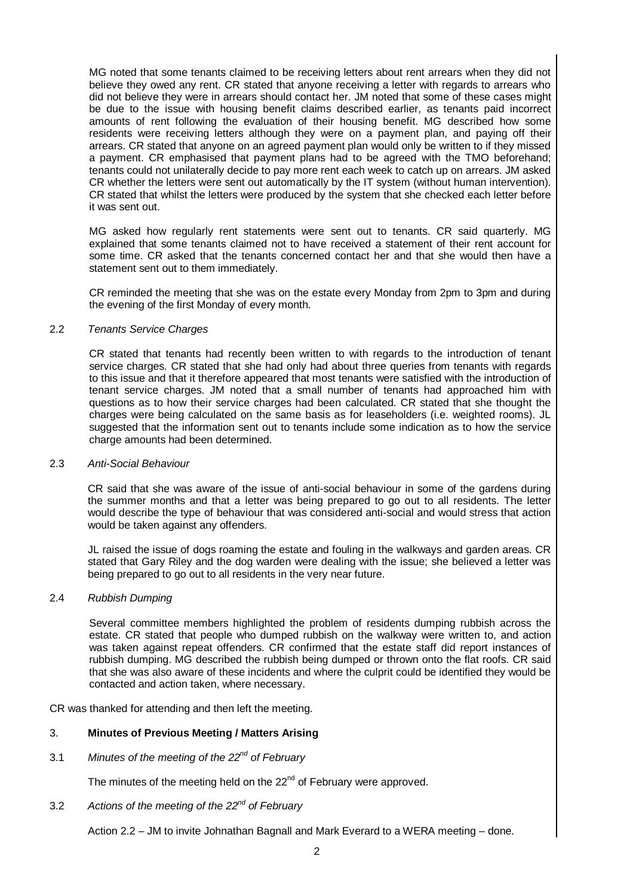MG noted that some tenants claimed to be receiving letters about rent arrears when they did not believe they owed any rent. CR stated that anyone receiving a letter with regards to arrears who did not believe they were in arrears should contact her. JM noted that some of these cases might be due to the issue with housing benefit claims described earlier, as tenants paid incorrect amounts of rent following the evaluation of their housing benefit. MG described how some residents were receiving letters although they were on a payment plan, and paying off their arrears. CR stated that anyone on an agreed payment plan would only be written to if they missed a payment. CR emphasised that payment plans had to be agreed with the TMO beforehand; tenants could not unilaterally decide to pay more rent each week to catch up on arrears. JM asked CR whether the letters were sent out automatically by the IT system (without human intervention). CR stated that whilst the letters were produced by the system that she checked each letter before it was sent out.

MG asked how regularly rent statements were sent out to tenants. CR said quarterly. MG explained that some tenants claimed not to have received a statement of their rent account for some time. CR asked that the tenants concerned contact her and that she would then have a statement sent out to them immediately.

CR reminded the meeting that she was on the estate every Monday from 2pm to 3pm and during the evening of the first Monday of every month.

### 2.2 Tenants Service Charges

CR stated that tenants had recently been written to with regards to the introduction of tenant service charges. CR stated that she had only had about three queries from tenants with regards to this issue and that it therefore appeared that most tenants were satisfied with the introduction of tenant service charges. JM noted that a small number of tenants had approached him with questions as to how their service charges had been calculated. CR stated that she thought the charges were being calculated on the same basis as for leaseholders (i.e. weighted rooms). JL suggested that the information sent out to tenants include some indication as to how the service charge amounts had been determined.

### 2.3 Anti-Social Behaviour

CR said that she was aware of the issue of anti-social behaviour in some of the gardens during the summer months and that a letter was being prepared to go out to all residents. The letter would describe the type of behaviour that was considered anti-social and would stress that action would be taken against any offenders.

JL raised the issue of dogs roaming the estate and fouling in the walkways and garden areas. CR stated that Gary Riley and the dog warden were dealing with the issue; she believed a letter was being prepared to go out to all residents in the very near future.

# 2.4 Rubbish Dumping

Several committee members highlighted the problem of residents dumping rubbish across the estate. CR stated that people who dumped rubbish on the walkway were written to, and action was taken against repeat offenders. CR confirmed that the estate staff did report instances of rubbish dumping. MG described the rubbish being dumped or thrown onto the flat roofs. CR said that she was also aware of these incidents and where the culprit could be identified they would be contacted and action taken, where necessary.

CR was thanked for attending and then left the meeting.

# 3. **Minutes of Previous Meeting / Matters Arising**

3.1 Minutes of the meeting of the 22<sup>nd</sup> of February

The minutes of the meeting held on the 22<sup>nd</sup> of February were approved.

3.2 Actions of the meeting of the 22<sup>nd</sup> of February

Action 2.2 – JM to invite Johnathan Bagnall and Mark Everard to a WERA meeting – done.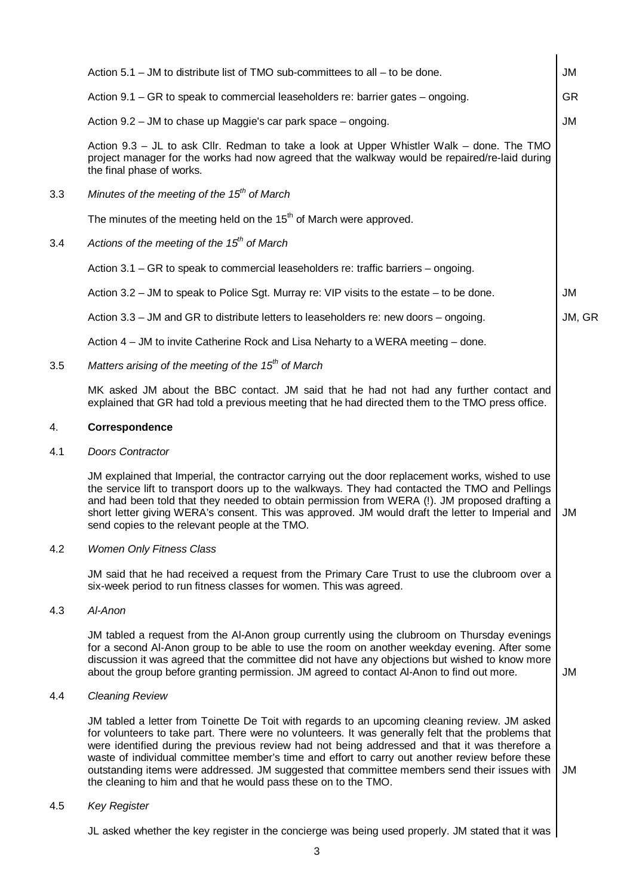|     | Action $5.1$ – JM to distribute list of TMO sub-committees to all – to be done.                                                                                                                                                                                                                                                                                                                                                                                                                                                                                               | <b>JM</b> |  |
|-----|-------------------------------------------------------------------------------------------------------------------------------------------------------------------------------------------------------------------------------------------------------------------------------------------------------------------------------------------------------------------------------------------------------------------------------------------------------------------------------------------------------------------------------------------------------------------------------|-----------|--|
|     | Action 9.1 – GR to speak to commercial leaseholders re: barrier gates – ongoing.                                                                                                                                                                                                                                                                                                                                                                                                                                                                                              | <b>GR</b> |  |
|     | Action 9.2 – JM to chase up Maggie's car park space – ongoing.                                                                                                                                                                                                                                                                                                                                                                                                                                                                                                                | <b>JM</b> |  |
|     | Action 9.3 – JL to ask Cllr. Redman to take a look at Upper Whistler Walk – done. The TMO<br>project manager for the works had now agreed that the walkway would be repaired/re-laid during<br>the final phase of works.                                                                                                                                                                                                                                                                                                                                                      |           |  |
| 3.3 | Minutes of the meeting of the $15th$ of March                                                                                                                                                                                                                                                                                                                                                                                                                                                                                                                                 |           |  |
|     | The minutes of the meeting held on the $15th$ of March were approved.                                                                                                                                                                                                                                                                                                                                                                                                                                                                                                         |           |  |
| 3.4 | Actions of the meeting of the $15th$ of March                                                                                                                                                                                                                                                                                                                                                                                                                                                                                                                                 |           |  |
|     | Action 3.1 – GR to speak to commercial leaseholders re: traffic barriers – ongoing.                                                                                                                                                                                                                                                                                                                                                                                                                                                                                           |           |  |
|     | Action 3.2 - JM to speak to Police Sgt. Murray re: VIP visits to the estate - to be done.                                                                                                                                                                                                                                                                                                                                                                                                                                                                                     | JM        |  |
|     | Action 3.3 – JM and GR to distribute letters to leaseholders re: new doors – ongoing.                                                                                                                                                                                                                                                                                                                                                                                                                                                                                         | JM, GR    |  |
|     | Action 4 – JM to invite Catherine Rock and Lisa Neharty to a WERA meeting – done.                                                                                                                                                                                                                                                                                                                                                                                                                                                                                             |           |  |
| 3.5 | Matters arising of the meeting of the $15th$ of March                                                                                                                                                                                                                                                                                                                                                                                                                                                                                                                         |           |  |
|     | MK asked JM about the BBC contact. JM said that he had not had any further contact and<br>explained that GR had told a previous meeting that he had directed them to the TMO press office.                                                                                                                                                                                                                                                                                                                                                                                    |           |  |
| 4.  | Correspondence                                                                                                                                                                                                                                                                                                                                                                                                                                                                                                                                                                |           |  |
| 4.1 | Doors Contractor                                                                                                                                                                                                                                                                                                                                                                                                                                                                                                                                                              |           |  |
|     | JM explained that Imperial, the contractor carrying out the door replacement works, wished to use<br>the service lift to transport doors up to the walkways. They had contacted the TMO and Pellings<br>and had been told that they needed to obtain permission from WERA (!). JM proposed drafting a<br>short letter giving WERA's consent. This was approved. JM would draft the letter to Imperial and<br>send copies to the relevant people at the TMO.                                                                                                                   | JM        |  |
| 4.2 | <b>Women Only Fitness Class</b>                                                                                                                                                                                                                                                                                                                                                                                                                                                                                                                                               |           |  |
|     | JM said that he had received a request from the Primary Care Trust to use the clubroom over a<br>six-week period to run fitness classes for women. This was agreed.                                                                                                                                                                                                                                                                                                                                                                                                           |           |  |
| 4.3 | Al-Anon                                                                                                                                                                                                                                                                                                                                                                                                                                                                                                                                                                       |           |  |
|     | JM tabled a request from the AI-Anon group currently using the clubroom on Thursday evenings<br>for a second Al-Anon group to be able to use the room on another weekday evening. After some<br>discussion it was agreed that the committee did not have any objections but wished to know more<br>about the group before granting permission. JM agreed to contact Al-Anon to find out more.                                                                                                                                                                                 | <b>JM</b> |  |
| 4.4 | <b>Cleaning Review</b>                                                                                                                                                                                                                                                                                                                                                                                                                                                                                                                                                        |           |  |
|     | JM tabled a letter from Toinette De Toit with regards to an upcoming cleaning review. JM asked<br>for volunteers to take part. There were no volunteers. It was generally felt that the problems that<br>were identified during the previous review had not being addressed and that it was therefore a<br>waste of individual committee member's time and effort to carry out another review before these<br>outstanding items were addressed. JM suggested that committee members send their issues with<br>the cleaning to him and that he would pass these on to the TMO. | JM        |  |
| 4.5 | <b>Key Register</b>                                                                                                                                                                                                                                                                                                                                                                                                                                                                                                                                                           |           |  |
|     | JL asked whether the key register in the concierge was being used properly. JM stated that it was                                                                                                                                                                                                                                                                                                                                                                                                                                                                             |           |  |